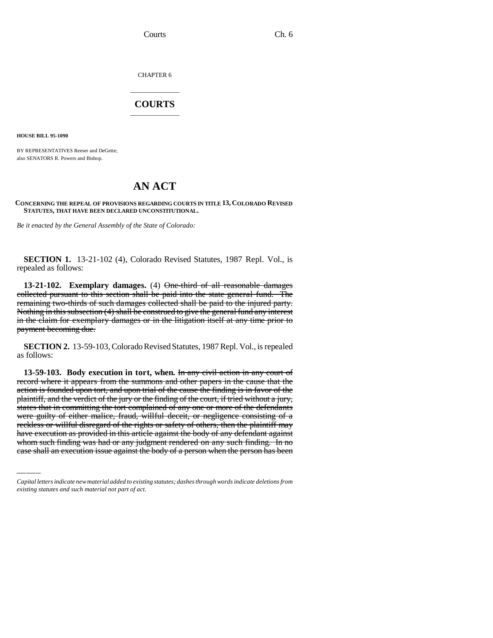Courts Ch. 6

CHAPTER 6

## \_\_\_\_\_\_\_\_\_\_\_\_\_\_\_ **COURTS** \_\_\_\_\_\_\_\_\_\_\_\_\_\_\_

**HOUSE BILL 95-1090**

BY REPRESENTATIVES Reeser and DeGette; also SENATORS R. Powers and Bishop.

## **AN ACT**

## **CONCERNING THE REPEAL OF PROVISIONS REGARDING COURTS IN TITLE 13, COLORADO REVISED STATUTES, THAT HAVE BEEN DECLARED UNCONSTITUTIONAL.**

*Be it enacted by the General Assembly of the State of Colorado:*

**SECTION 1.** 13-21-102 (4), Colorado Revised Statutes, 1987 Repl. Vol., is repealed as follows:

**13-21-102. Exemplary damages.** (4) One-third of all reasonable damages collected pursuant to this section shall be paid into the state general fund. The remaining two-thirds of such damages collected shall be paid to the injured party. Nothing in this subsection (4) shall be construed to give the general fund any interest in the claim for exemplary damages or in the litigation itself at any time prior to payment becoming due.

**SECTION 2.** 13-59-103, Colorado Revised Statutes, 1987 Repl. Vol., is repealed as follows:

were guilty of either malice, fraud, willful deceit, or negligence consisting of a **13-59-103. Body execution in tort, when.** In any civil action in any court of record where it appears from the summons and other papers in the cause that the action is founded upon tort, and upon trial of the cause the finding is in favor of the plaintiff, and the verdict of the jury or the finding of the court, if tried without a jury, states that in committing the tort complained of any one or more of the defendants reckless or willful disregard of the rights or safety of others, then the plaintiff may have execution as provided in this article against the body of any defendant against whom such finding was had or any judgment rendered on any such finding. In no case shall an execution issue against the body of a person when the person has been

*Capital letters indicate new material added to existing statutes; dashes through words indicate deletions from existing statutes and such material not part of act.*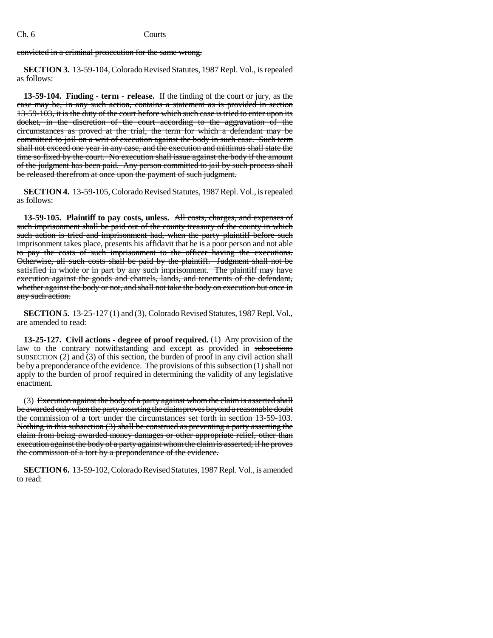## Ch. 6 Courts

convicted in a criminal prosecution for the same wrong.

**SECTION 3.** 13-59-104, Colorado Revised Statutes, 1987 Repl. Vol., is repealed as follows:

**13-59-104. Finding - term - release.** If the finding of the court or jury, as the case may be, in any such action, contains a statement as is provided in section 13-59-103, it is the duty of the court before which such case is tried to enter upon its docket, in the discretion of the court according to the aggravation of the circumstances as proved at the trial, the term for which a defendant may be committed to jail on a writ of execution against the body in such case. Such term shall not exceed one year in any case, and the execution and mittimus shall state the time so fixed by the court. No execution shall issue against the body if the amount of the judgment has been paid. Any person committed to jail by such process shall be released therefrom at once upon the payment of such judgment.

**SECTION 4.** 13-59-105, Colorado Revised Statutes, 1987 Repl. Vol., is repealed as follows:

**13-59-105. Plaintiff to pay costs, unless.** All costs, charges, and expenses of such imprisonment shall be paid out of the county treasury of the county in which such action is tried and imprisonment had, when the party plaintiff before such imprisonment takes place, presents his affidavit that he is a poor person and not able to pay the costs of such imprisonment to the officer having the executions. Otherwise, all such costs shall be paid by the plaintiff. Judgment shall not be satisfied in whole or in part by any such imprisonment. The plaintiff may have execution against the goods and chattels, lands, and tenements of the defendant, whether against the body or not, and shall not take the body on execution but once in any such action.

**SECTION 5.** 13-25-127 (1) and (3), Colorado Revised Statutes, 1987 Repl. Vol., are amended to read:

**13-25-127. Civil actions - degree of proof required.** (1) Any provision of the law to the contrary notwithstanding and except as provided in subsections SUBSECTION (2) and  $(3)$  of this section, the burden of proof in any civil action shall be by a preponderance of the evidence. The provisions of this subsection (1) shall not apply to the burden of proof required in determining the validity of any legislative enactment.

(3) Execution against the body of a party against whom the claim is asserted shall be awarded only when the party asserting the claim proves beyond a reasonable doubt the commission of a tort under the circumstances set forth in section 13-59-103. Nothing in this subsection (3) shall be construed as preventing a party asserting the claim from being awarded money damages or other appropriate relief, other than execution against the body of a party against whom the claim is asserted, if he proves the commission of a tort by a preponderance of the evidence.

**SECTION 6.** 13-59-102, Colorado Revised Statutes, 1987 Repl. Vol., is amended to read: